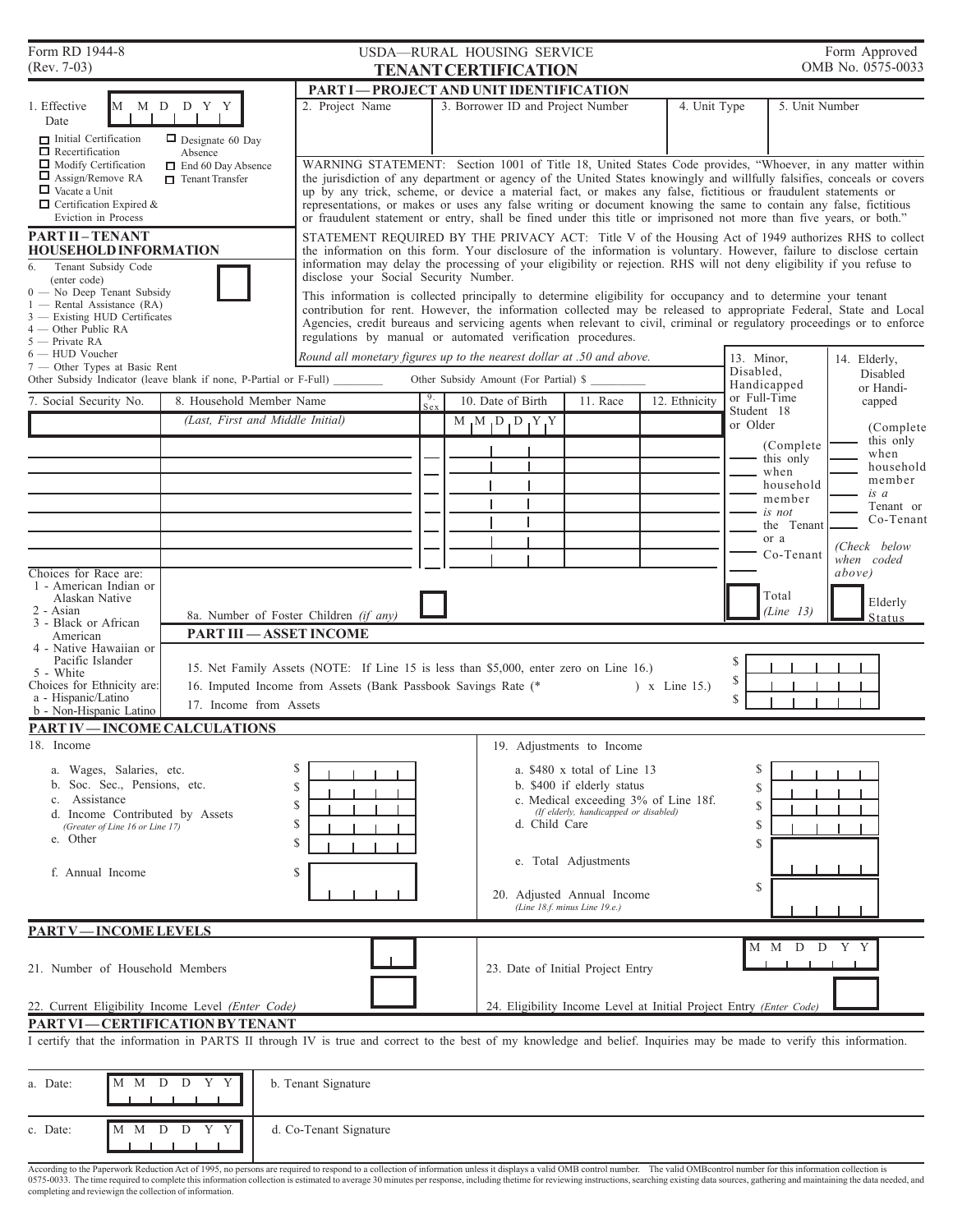| Form RD 1944-8<br>$(Rev. 7-03)$                                                                             | Form Approved<br>USDA-RURAL HOUSING SERVICE<br>OMB No. 0575-0033 |                                                                                                                                                                                                                                              |                                                                                    |                                                                    |               |                            |                   |  |  |
|-------------------------------------------------------------------------------------------------------------|------------------------------------------------------------------|----------------------------------------------------------------------------------------------------------------------------------------------------------------------------------------------------------------------------------------------|------------------------------------------------------------------------------------|--------------------------------------------------------------------|---------------|----------------------------|-------------------|--|--|
|                                                                                                             |                                                                  |                                                                                                                                                                                                                                              | <b>TENANT CERTIFICATION</b>                                                        |                                                                    |               |                            |                   |  |  |
| 1. Effective                                                                                                | M M D D Y Y                                                      | 2. Project Name                                                                                                                                                                                                                              | <b>PART I-PROJECT AND UNIT IDENTIFICATION</b><br>3. Borrower ID and Project Number |                                                                    | 4. Unit Type  | 5. Unit Number             |                   |  |  |
| Date                                                                                                        |                                                                  |                                                                                                                                                                                                                                              |                                                                                    |                                                                    |               |                            |                   |  |  |
| $\blacksquare$ Initial Certification<br>$\Box$ Recertification                                              | $\Box$ Designate 60 Day<br>Absence                               |                                                                                                                                                                                                                                              |                                                                                    |                                                                    |               |                            |                   |  |  |
| $\Box$ Modify Certification                                                                                 | $\Box$ End 60 Day Absence                                        | WARNING STATEMENT: Section 1001 of Title 18, United States Code provides, "Whoever, in any matter within                                                                                                                                     |                                                                                    |                                                                    |               |                            |                   |  |  |
| $\Box$ Assign/Remove RA<br>$\Box$ Vacate a Unit                                                             | $\Box$ Tenant Transfer                                           | the jurisdiction of any department or agency of the United States knowingly and willfully falsifies, conceals or covers                                                                                                                      |                                                                                    |                                                                    |               |                            |                   |  |  |
| $\Box$ Certification Expired &                                                                              |                                                                  | up by any trick, scheme, or device a material fact, or makes any false, fictitious or fraudulent statements or<br>representations, or makes or uses any false writing or document knowing the same to contain any false, fictitious          |                                                                                    |                                                                    |               |                            |                   |  |  |
| Eviction in Process                                                                                         |                                                                  | or fraudulent statement or entry, shall be fined under this title or imprisoned not more than five years, or both."                                                                                                                          |                                                                                    |                                                                    |               |                            |                   |  |  |
| <b>PART II - TENANT</b>                                                                                     |                                                                  | STATEMENT REQUIRED BY THE PRIVACY ACT: Title V of the Housing Act of 1949 authorizes RHS to collect                                                                                                                                          |                                                                                    |                                                                    |               |                            |                   |  |  |
| <b>HOUSEHOLD INFORMATION</b>                                                                                |                                                                  | the information on this form. Your disclosure of the information is voluntary. However, failure to disclose certain<br>information may delay the processing of your eligibility or rejection. RHS will not deny eligibility if you refuse to |                                                                                    |                                                                    |               |                            |                   |  |  |
| Tenant Subsidy Code<br>6.<br>(enter code)                                                                   |                                                                  | disclose your Social Security Number.                                                                                                                                                                                                        |                                                                                    |                                                                    |               |                            |                   |  |  |
| $0 - No$ Deep Tenant Subsidy                                                                                |                                                                  | This information is collected principally to determine eligibility for occupancy and to determine your tenant                                                                                                                                |                                                                                    |                                                                    |               |                            |                   |  |  |
| - Rental Assistance (RA)<br>3 - Existing HUD Certificates                                                   |                                                                  | contribution for rent. However, the information collected may be released to appropriate Federal, State and Local<br>Agencies, credit bureaus and servicing agents when relevant to civil, criminal or regulatory proceedings or to enforce  |                                                                                    |                                                                    |               |                            |                   |  |  |
| 4 — Other Public RA                                                                                         |                                                                  | regulations by manual or automated verification procedures.                                                                                                                                                                                  |                                                                                    |                                                                    |               |                            |                   |  |  |
| 5 — Private RA<br>6 - HUD Voucher                                                                           |                                                                  | Round all monetary figures up to the nearest dollar at .50 and above.                                                                                                                                                                        |                                                                                    |                                                                    |               | 13. Minor,                 | 14. Elderly,      |  |  |
| 7 — Other Types at Basic Rent<br>Other Subsidy Indicator (leave blank if none, P-Partial or F-Full) _______ |                                                                  |                                                                                                                                                                                                                                              |                                                                                    |                                                                    |               | Disabled,                  | Disabled          |  |  |
|                                                                                                             |                                                                  |                                                                                                                                                                                                                                              | Other Subsidy Amount (For Partial) \$                                              |                                                                    |               | Handicapped                | or Handi-         |  |  |
| 7. Social Security No.                                                                                      | 8. Household Member Name                                         |                                                                                                                                                                                                                                              | 10. Date of Birth                                                                  | 11. Race                                                           | 12. Ethnicity | or Full-Time<br>Student 18 | capped            |  |  |
|                                                                                                             | (Last, First and Middle Initial)                                 |                                                                                                                                                                                                                                              | MMDDYY                                                                             |                                                                    |               | or Older                   | (Complete         |  |  |
|                                                                                                             |                                                                  |                                                                                                                                                                                                                                              |                                                                                    |                                                                    |               | (Complete)                 | this only<br>when |  |  |
|                                                                                                             |                                                                  |                                                                                                                                                                                                                                              |                                                                                    |                                                                    |               | this only<br>when          | household         |  |  |
|                                                                                                             |                                                                  |                                                                                                                                                                                                                                              |                                                                                    |                                                                    |               | household                  | member            |  |  |
|                                                                                                             |                                                                  |                                                                                                                                                                                                                                              |                                                                                    |                                                                    |               | member                     | is a<br>Tenant or |  |  |
|                                                                                                             |                                                                  |                                                                                                                                                                                                                                              |                                                                                    |                                                                    |               | is not<br>the Tenant       | Co-Tenant         |  |  |
|                                                                                                             |                                                                  |                                                                                                                                                                                                                                              |                                                                                    |                                                                    |               | or a                       | (Check below      |  |  |
|                                                                                                             |                                                                  |                                                                                                                                                                                                                                              |                                                                                    |                                                                    |               | Co-Tenant                  | when coded        |  |  |
| Choices for Race are:                                                                                       |                                                                  |                                                                                                                                                                                                                                              |                                                                                    |                                                                    |               |                            | above)            |  |  |
| 1 - American Indian or<br>Alaskan Native                                                                    |                                                                  |                                                                                                                                                                                                                                              |                                                                                    |                                                                    |               | Total                      | Elderly           |  |  |
| 2 - Asian<br>3 - Black or African                                                                           | 8a. Number of Foster Children (if any)                           |                                                                                                                                                                                                                                              |                                                                                    |                                                                    |               | (Line 13)<br><b>Status</b> |                   |  |  |
| American                                                                                                    | <b>PART III - ASSET INCOME</b>                                   |                                                                                                                                                                                                                                              |                                                                                    |                                                                    |               |                            |                   |  |  |
| 4 - Native Hawaiian or<br>Pacific Islander                                                                  | \$                                                               |                                                                                                                                                                                                                                              |                                                                                    |                                                                    |               |                            |                   |  |  |
| 5 - White                                                                                                   |                                                                  | 15. Net Family Assets (NOTE: If Line 15 is less than \$5,000, enter zero on Line 16.)                                                                                                                                                        | \$                                                                                 |                                                                    |               |                            |                   |  |  |
| Choices for Ethnicity are:<br>a - Hispanic/Latino                                                           |                                                                  |                                                                                                                                                                                                                                              | 16. Imputed Income from Assets (Bank Passbook Savings Rate (*<br>$\chi$ Line 15.)  |                                                                    |               | \$                         |                   |  |  |
| b - Non-Hispanic Latino                                                                                     | 17. Income from Assets                                           |                                                                                                                                                                                                                                              |                                                                                    |                                                                    |               |                            |                   |  |  |
| <b>PART IV-INCOME CALCULATIONS</b>                                                                          |                                                                  |                                                                                                                                                                                                                                              |                                                                                    |                                                                    |               |                            |                   |  |  |
| 18. Income                                                                                                  |                                                                  |                                                                                                                                                                                                                                              |                                                                                    | 19. Adjustments to Income                                          |               |                            |                   |  |  |
| a. Wages, Salaries, etc.                                                                                    |                                                                  | \$                                                                                                                                                                                                                                           |                                                                                    | a. \$480 x total of Line 13                                        |               | \$                         |                   |  |  |
| b. Soc. Sec., Pensions, etc.<br>\$                                                                          |                                                                  |                                                                                                                                                                                                                                              |                                                                                    | b. \$400 if elderly status<br>\$                                   |               |                            |                   |  |  |
| c. Assistance                                                                                               |                                                                  | c. Medical exceeding 3% of Line 18f.<br>\$<br>(If elderly, handicapped or disabled)                                                                                                                                                          |                                                                                    |                                                                    |               | \$                         |                   |  |  |
| d. Income Contributed by Assets<br>\$<br>(Greater of Line 16 or Line 17)                                    |                                                                  |                                                                                                                                                                                                                                              | d. Child Care                                                                      |                                                                    |               | \$                         |                   |  |  |
| e. Other                                                                                                    |                                                                  | <sup>\$</sup>                                                                                                                                                                                                                                |                                                                                    |                                                                    |               |                            |                   |  |  |
|                                                                                                             |                                                                  |                                                                                                                                                                                                                                              |                                                                                    | e. Total Adjustments                                               |               |                            |                   |  |  |
| f. Annual Income                                                                                            |                                                                  | \$                                                                                                                                                                                                                                           |                                                                                    |                                                                    |               | \$                         |                   |  |  |
|                                                                                                             |                                                                  |                                                                                                                                                                                                                                              |                                                                                    | 20. Adjusted Annual Income<br>(Line 18.f. minus Line 19.e.)        |               |                            |                   |  |  |
|                                                                                                             |                                                                  |                                                                                                                                                                                                                                              |                                                                                    |                                                                    |               |                            |                   |  |  |
| <b>PART V-INCOME LEVELS</b>                                                                                 |                                                                  |                                                                                                                                                                                                                                              |                                                                                    |                                                                    |               | M M D D Y Y                |                   |  |  |
|                                                                                                             |                                                                  |                                                                                                                                                                                                                                              |                                                                                    |                                                                    |               |                            |                   |  |  |
| 21. Number of Household Members                                                                             |                                                                  |                                                                                                                                                                                                                                              |                                                                                    | 23. Date of Initial Project Entry                                  |               |                            |                   |  |  |
|                                                                                                             |                                                                  |                                                                                                                                                                                                                                              |                                                                                    |                                                                    |               |                            |                   |  |  |
| 22. Current Eligibility Income Level (Enter Code)<br>PART VI-CERTIFICATION BY TENANT                        |                                                                  |                                                                                                                                                                                                                                              |                                                                                    | 24. Eligibility Income Level at Initial Project Entry (Enter Code) |               |                            |                   |  |  |
|                                                                                                             |                                                                  | I certify that the information in PARTS II through IV is true and correct to the best of my knowledge and belief. Inquiries may be made to verify this information.                                                                          |                                                                                    |                                                                    |               |                            |                   |  |  |
|                                                                                                             |                                                                  |                                                                                                                                                                                                                                              |                                                                                    |                                                                    |               |                            |                   |  |  |
| M M<br>D<br>a. Date:                                                                                        | D<br>Y                                                           | b. Tenant Signature                                                                                                                                                                                                                          |                                                                                    |                                                                    |               |                            |                   |  |  |
|                                                                                                             |                                                                  |                                                                                                                                                                                                                                              |                                                                                    |                                                                    |               |                            |                   |  |  |
| c. Date:                                                                                                    | M M D D Y Y                                                      | d. Co-Tenant Signature                                                                                                                                                                                                                       |                                                                                    |                                                                    |               |                            |                   |  |  |

According to the Paperwork Reduction Act of 1995, no persons are required to respond to a collection of information unless it displays a valid OMB control number. The valid OMBcontrol number for this information collection